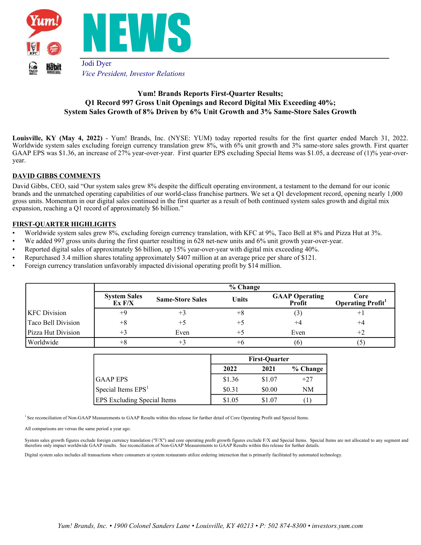

# **Yum! Brands Reports First-Quarter Results; Q1 Record 997 Gross Unit Openings and Record Digital Mix Exceeding 40%; System Sales Growth of 8% Driven by 6% Unit Growth and 3% Same-Store Sales Growth**

**Louisville, KY (May 4, 2022)** - Yum! Brands, Inc. (NYSE: YUM) today reported results for the first quarter ended March 31, 2022. Worldwide system sales excluding foreign currency translation grew 8%, with 6% unit growth and 3% same-store sales growth. First quarter GAAP EPS was \$1.36, an increase of 27% year-over-year. First quarter EPS excluding Special Items was \$1.05, a decrease of (1)% year-overyear.

## **DAVID GIBBS COMMENTS**

David Gibbs, CEO, said "Our system sales grew 8% despite the difficult operating environment, a testament to the demand for our iconic brands and the unmatched operating capabilities of our world-class franchise partners. We set a Q1 development record, opening nearly 1,000 gross units. Momentum in our digital sales continued in the first quarter as a result of both continued system sales growth and digital mix expansion, reaching a Q1 record of approximately \$6 billion."

#### **FIRST-QUARTER HIGHLIGHTS**

- Worldwide system sales grew 8%, excluding foreign currency translation, with KFC at 9%, Taco Bell at 8% and Pizza Hut at 3%.
- We added 997 gross units during the first quarter resulting in 628 net-new units and 6% unit growth year-over-year.
- Reported digital sales of approximately \$6 billion, up 15% year-over-year with digital mix exceeding 40%.
- Repurchased 3.4 million shares totaling approximately \$407 million at an average price per share of \$121.
- Foreign currency translation unfavorably impacted divisional operating profit by \$14 million.

|                     |                                          |                         | % Change     |                                 |                                 |
|---------------------|------------------------------------------|-------------------------|--------------|---------------------------------|---------------------------------|
|                     | <b>System Sales</b><br>$\mathbf{Ex}$ F/X | <b>Same-Store Sales</b> | <b>Units</b> | <b>GAAP Operating</b><br>Profit | Core<br><b>Operating Profit</b> |
| <b>KFC</b> Division | +9                                       | +3                      | $+8$         | $\left(3\right)$                | $^+$ 1                          |
| Taco Bell Division  | $+8$                                     | $+5$                    | $+5$         | $^{+4}$                         | $^{+4}$                         |
| Pizza Hut Division  | $+3$                                     | Even                    | $+5$         | Even                            | $+2$                            |
| Worldwide           | $+8$                                     | $+3$                    | +6           | (6)                             | $\mathcal{C}$                   |

|                                    | <b>First-Ouarter</b> |        |            |  |
|------------------------------------|----------------------|--------|------------|--|
|                                    | 2022                 | 2021   | $%$ Change |  |
| IGAAP EPS                          | \$1.36               | \$1.07 | $+27$      |  |
| Special Items $EPS1$               | \$0.31               | \$0.00 | NΜ         |  |
| <b>EPS</b> Excluding Special Items | \$1.05               | \$1.07 |            |  |

<sup>1</sup> See reconciliation of Non-GAAP Measurements to GAAP Results within this release for further detail of Core Operating Profit and Special Items.

All comparisons are versus the same period a year ago.

System sales growth figures exclude foreign currency translation ("F/X") and core operating profit growth figures exclude F/X and Special Items. Special Items are not allocated to any segment and<br>therefore only impact worl

Digital system sales includes all transactions where consumers at system restaurants utilize ordering interaction that is primarily facilitated by automated technology.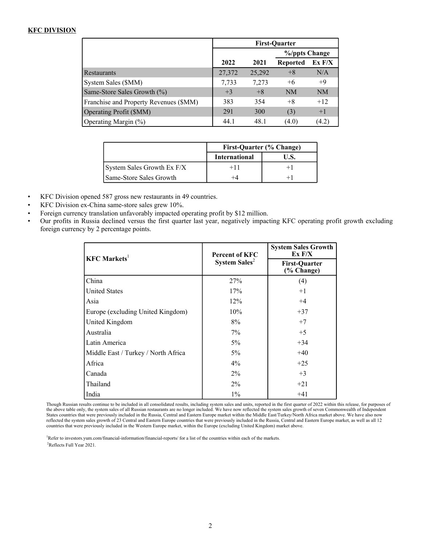# **KFC DIVISION**

|                                        | <b>First-Quarter</b> |        |                 |           |  |  |
|----------------------------------------|----------------------|--------|-----------------|-----------|--|--|
|                                        |                      |        | %/ppts Change   |           |  |  |
|                                        | 2022                 | 2021   | <b>Reported</b> | Ex F/X    |  |  |
| <b>Restaurants</b>                     | 27,372               | 25,292 | $+8$            | N/A       |  |  |
| System Sales (\$MM)                    | 7,733                | 7,273  | $+6$            | $+9$      |  |  |
| Same-Store Sales Growth (%)            | $+3$                 | $+8$   | NM              | <b>NM</b> |  |  |
| Franchise and Property Revenues (\$MM) | 383                  | 354    | $+8$            | $+12$     |  |  |
| Operating Profit (\$MM)                | 291                  | 300    | (3)             | $+1$      |  |  |
| Operating Margin (%)                   | 44.1                 | 48.1   | (4.0)           | (4.2)     |  |  |

|                            | First-Quarter (% Change) |      |  |  |
|----------------------------|--------------------------|------|--|--|
|                            | <b>International</b>     | U.S. |  |  |
| System Sales Growth Ex F/X | $+11$                    |      |  |  |
| Same-Store Sales Growth    |                          |      |  |  |

- KFC Division opened 587 gross new restaurants in 49 countries.
- KFC Division ex-China same-store sales grew 10%.
- Foreign currency translation unfavorably impacted operating profit by \$12 million.
- Our profits in Russia declined versus the first quarter last year, negatively impacting KFC operating profit growth excluding foreign currency by 2 percentage points.

| $KFC$ Markets <sup>1</sup>          | <b>Percent of KFC</b>     | <b>System Sales Growth</b><br>Ex F/X |
|-------------------------------------|---------------------------|--------------------------------------|
|                                     | System Sales <sup>2</sup> | <b>First-Quarter</b><br>(% Change)   |
| China                               | 27%                       | (4)                                  |
| <b>United States</b>                | 17%                       | $+1$                                 |
| Asia                                | 12%                       | $+4$                                 |
| Europe (excluding United Kingdom)   | 10%                       | $+37$                                |
| United Kingdom                      | 8%                        | $+7$                                 |
| Australia                           | 7%                        | $+5$                                 |
| Latin America                       | $5\%$                     | $+34$                                |
| Middle East / Turkey / North Africa | $5\%$                     | $+40$                                |
| Africa                              | $4\%$                     | $+25$                                |
| Canada                              | $2\%$                     | $+3$                                 |
| Thailand                            | $2\%$                     | $+21$                                |
| India                               | $1\%$                     | $+41$                                |

Though Russian results continue to be included in all consolidated results, including system sales and units, reported in the first quarter of 2022 within this release, for purposes of the above table only, the system sales of all Russian restaurants are no longer included. We have now reflected the system sales growth of seven Commonwealth of Independent<br>States countries that were previously included in reflected the system sales growth of 23 Central and Eastern Europe countries that were previously included in the Russia, Central and Eastern Europe market, as well as all 12 countries that were previously included in the

<sup>1</sup>Refer to investors.yum.com/financial-information/financial-reports/ for a list of the countries within each of the markets. <sup>2</sup>Reflects Full Year 2021.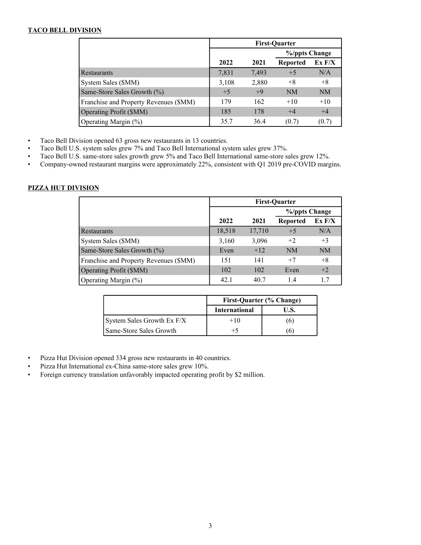# **TACO BELL DIVISION**

|                                        | <b>First-Quarter</b> |       |                 |               |  |  |
|----------------------------------------|----------------------|-------|-----------------|---------------|--|--|
|                                        |                      |       |                 | %/ppts Change |  |  |
|                                        | 2022                 | 2021  | <b>Reported</b> | Ex F/X        |  |  |
| <b>Restaurants</b>                     | 7,831                | 7,493 | $+5$            | N/A           |  |  |
| System Sales (\$MM)                    | 3,108                | 2,880 | $+8$            | $+8$          |  |  |
| Same-Store Sales Growth (%)            | $+5$                 | $+9$  | <b>NM</b>       | <b>NM</b>     |  |  |
| Franchise and Property Revenues (\$MM) | 179                  | 162   | $+10^{-}$       | $+10$         |  |  |
| Operating Profit (\$MM)                | 185                  | 178   | $+4$            | $+4$          |  |  |
| Operating Margin (%)                   | 35.7                 | 36.4  | (0.7)           | (0.7)         |  |  |

• Taco Bell Division opened 63 gross new restaurants in 13 countries.

- Taco Bell U.S. system sales grew 7% and Taco Bell International system sales grew 37%.
- Taco Bell U.S. same-store sales growth grew 5% and Taco Bell International same-store sales grew 12%.
- Company-owned restaurant margins were approximately 22%, consistent with Q1 2019 pre-COVID margins.

## **PIZZA HUT DIVISION**

|                                        | <b>First-Quarter</b> |               |                 |           |  |
|----------------------------------------|----------------------|---------------|-----------------|-----------|--|
|                                        |                      | %/ppts Change |                 |           |  |
|                                        | 2022                 | 2021          | <b>Reported</b> | Ex F/X    |  |
| Restaurants                            | 18,518               | 17,710        | $+5$            | N/A       |  |
| System Sales (\$MM)                    | 3,160                | 3,096         | $+2$            | $+3$      |  |
| Same-Store Sales Growth (%)            | Even                 | $+12$         | <b>NM</b>       | <b>NM</b> |  |
| Franchise and Property Revenues (\$MM) | 151                  | 141           | $+7$            | $+8$      |  |
| Operating Profit (\$MM)                | 102                  | 102           | Even            | $+2$      |  |
| Operating Margin (%)                   | 42.1                 | 40.7          | 1.4             | 1.7       |  |

|                            | First-Quarter (% Change) |      |  |  |
|----------------------------|--------------------------|------|--|--|
|                            | <b>International</b>     | U.S. |  |  |
| System Sales Growth Ex F/X | $+10$                    | (6)  |  |  |
| Same-Store Sales Growth    | $+5$                     |      |  |  |

- Pizza Hut Division opened 334 gross new restaurants in 40 countries.
- Pizza Hut International ex-China same-store sales grew 10%.
- Foreign currency translation unfavorably impacted operating profit by \$2 million.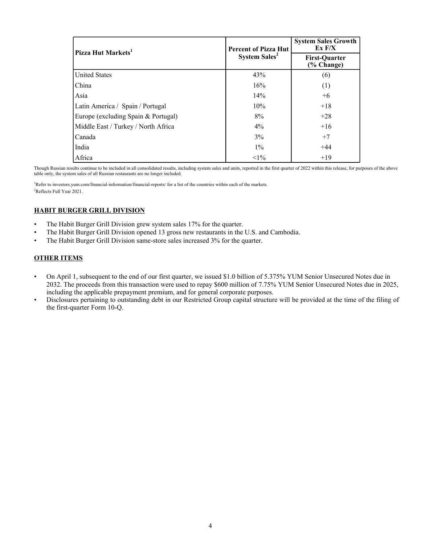| Pizza Hut Markets <sup>1</sup>      | <b>Percent of Pizza Hut</b>     | <b>System Sales Growth</b><br>Ex F/X |  |
|-------------------------------------|---------------------------------|--------------------------------------|--|
|                                     | <b>System Sales<sup>2</sup></b> | <b>First-Quarter</b><br>(% Change)   |  |
| <b>United States</b>                | 43%                             | (6)                                  |  |
| China                               | 16%                             | (1)                                  |  |
| Asia                                | 14%                             | $+6$                                 |  |
| Latin America / Spain / Portugal    | 10%                             | $+18$                                |  |
| Europe (excluding Spain & Portugal) | 8%                              | $+28$                                |  |
| Middle East / Turkey / North Africa | $4\%$                           | $+16$                                |  |
| Canada                              | 3%                              | $+7$                                 |  |
| India                               | $1\%$                           | $+44$                                |  |
| Africa                              | $<1\%$                          | $+19$                                |  |

Though Russian results continue to be included in all consolidated results, including system sales and units, reported in the first quarter of 2022 within this release, for purposes of the above table only, the system sales of all Russian restaurants are no longer included.

<sup>1</sup>Refer to investors.yum.com/financial-information/financial-reports/ for a list of the countries within each of the markets. <sup>2</sup>Reflects Full Year 2021.

# **HABIT BURGER GRILL DIVISION**

- The Habit Burger Grill Division grew system sales 17% for the quarter.
- The Habit Burger Grill Division opened 13 gross new restaurants in the U.S. and Cambodia.
- The Habit Burger Grill Division same-store sales increased 3% for the quarter.

# **OTHER ITEMS**

- On April 1, subsequent to the end of our first quarter, we issued \$1.0 billion of 5.375% YUM Senior Unsecured Notes due in 2032. The proceeds from this transaction were used to repay \$600 million of 7.75% YUM Senior Unsecured Notes due in 2025, including the applicable prepayment premium, and for general corporate purposes.
- Disclosures pertaining to outstanding debt in our Restricted Group capital structure will be provided at the time of the filing of the first-quarter Form 10-Q.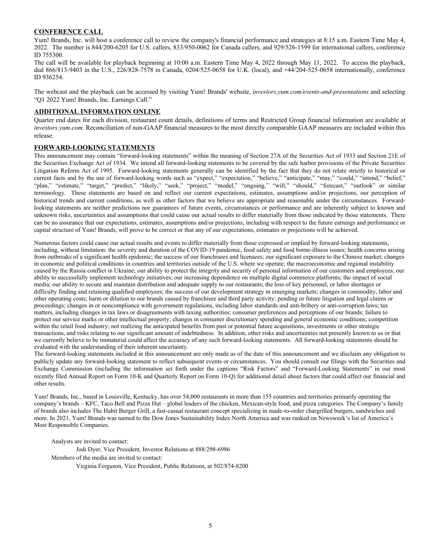#### **CONFERENCE CALL**

Yum! Brands, Inc. will host a conference call to review the company's financial performance and strategies at 8:15 a.m. Eastern Time May 4, 2022. The number is 844/200-6205 for U.S. callers, 833/950-0062 for Canada callers, and 929/526-1599 for international callers, conference ID 755300.

The call will be available for playback beginning at 10:00 a.m. Eastern Time May 4, 2022 through May 11, 2022. To access the playback, dial 866/813-9403 in the U.S., 226/828-7578 in Canada, 0204/525-0658 for U.K. (local), and +44/204-525-0658 internationally, conference ID 936254.

The webcast and the playback can be accessed by visiting Yum! Brands' website, *investors.yum.com/events-and-presentations* and selecting "Q1 2022 Yum! Brands, Inc. Earnings Call."

#### **ADDITIONAL INFORMATION ONLINE**

Quarter end dates for each division, restaurant count details, definitions of terms and Restricted Group financial information are available at *investors.yum.com.* Reconciliation of non-GAAP financial measures to the most directly comparable GAAP measures are included within this release.

### **FORWARD-LOOKING STATEMENTS**

This announcement may contain "forward-looking statements" within the meaning of Section 27A of the Securities Act of 1933 and Section 21E of the Securities Exchange Act of 1934. We intend all forward-looking statements to be covered by the safe harbor provisions of the Private Securities Litigation Reform Act of 1995. Forward-looking statements generally can be identified by the fact that they do not relate strictly to historical or current facts and by the use of forward-looking words such as "expect," "expectation," "believe," "anticipate," "may," "could," "intend," "belief," "plan," "estimate," "target," "predict," "likely," "seek," "project," "model," "ongoing," "will," "should," "forecast," "outlook" or similar terminology. These statements are based on and reflect our current expectations, estimates, assumptions and/or projections, our perception of historical trends and current conditions, as well as other factors that we believe are appropriate and reasonable under the circumstances. Forwardlooking statements are neither predictions nor guarantees of future events, circumstances or performance and are inherently subject to known and unknown risks, uncertainties and assumptions that could cause our actual results to differ materially from those indicated by those statements. There can be no assurance that our expectations, estimates, assumptions and/or projections, including with respect to the future earnings and performance or capital structure of Yum! Brands, will prove to be correct or that any of our expectations, estimates or projections will be achieved.

Numerous factors could cause our actual results and events to differ materially from those expressed or implied by forward-looking statements, including, without limitation: the severity and duration of the COVID-19 pandemic, food safety and food borne-illness issues; health concerns arising from outbreaks of a significant health epidemic; the success of our franchisees and licensees; our significant exposure to the Chinese market; changes in economic and political conditions in countries and territories outside of the U.S. where we operate; the macroeconomic and regional instability caused by the Russia conflict in Ukraine; our ability to protect the integrity and security of personal information of our customers and employees; our ability to successfully implement technology initiatives; our increasing dependence on multiple digital commerce platforms; the impact of social media; our ability to secure and maintain distribution and adequate supply to our restaurants; the loss of key personnel, or labor shortages or difficulty finding and retaining qualified employees; the success of our development strategy in emerging markets; changes in commodity, labor and other operating costs; harm or dilution to our brands caused by franchisee and third party activity; pending or future litigation and legal claims or proceedings; changes in or noncompliance with government regulations, including labor standards and anti-bribery or anti-corruption laws; tax matters, including changes in tax laws or disagreements with taxing authorities; consumer preferences and perceptions of our brands; failure to protect our service marks or other intellectual property; changes in consumer discretionary spending and general economic conditions; competition within the retail food industry; not realizing the anticipated benefits from past or potential future acquisitions, investments or other strategic transactions, and risks relating to our significant amount of indebtedness. In addition, other risks and uncertainties not presently known to us or that we currently believe to be immaterial could affect the accuracy of any such forward-looking statements. All forward-looking statements should be evaluated with the understanding of their inherent uncertainty.

The forward-looking statements included in this announcement are only made as of the date of this announcement and we disclaim any obligation to publicly update any forward-looking statement to reflect subsequent events or circumstances. You should consult our filings with the Securities and Exchange Commission (including the information set forth under the captions "Risk Factors" and "Forward-Looking Statements" in our most recently filed Annual Report on Form 10-K and Quarterly Report on Form 10-Q) for additional detail about factors that could affect our financial and other results.

Yum! Brands, Inc., based in Louisville, Kentucky, has over 54,000 restaurants in more than 155 countries and territories primarily operating the company's brands – KFC, Taco Bell and Pizza Hut – global leaders of the chicken, Mexican-style food, and pizza categories. The Company's family of brands also includes The Habit Burger Grill, a fast-casual restaurant concept specializing in made-to-order chargrilled burgers, sandwiches and more. In 2021, Yum! Brands was named to the Dow Jones Sustainability Index North America and was ranked on Newsweek's list of America's Most Responsible Companies.

Analysts are invited to contact:

Jodi Dyer, Vice President, Investor Relations at 888/298-6986 Members of the media are invited to contact: Virginia Ferguson, Vice President, Public Relations, at 502/874-8200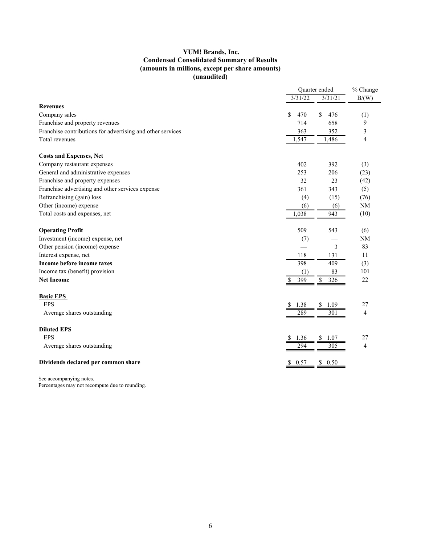## **YUM! Brands, Inc. Condensed Consolidated Summary of Results (amounts in millions, except per share amounts) (unaudited)**

|                                                            |           | Quarter ended |                |
|------------------------------------------------------------|-----------|---------------|----------------|
|                                                            | 3/31/22   | 3/31/21       | B/(W)          |
| <b>Revenues</b>                                            |           |               |                |
| Company sales                                              | \$<br>470 | \$<br>476     | (1)            |
| Franchise and property revenues                            | 714       | 658           | 9              |
| Franchise contributions for advertising and other services | 363       | 352           | 3              |
| Total revenues                                             | 1,547     | 1,486         | 4              |
| <b>Costs and Expenses, Net</b>                             |           |               |                |
| Company restaurant expenses                                | 402       | 392           | (3)            |
| General and administrative expenses                        | 253       | 206           | (23)           |
| Franchise and property expenses                            | 32        | 23            | (42)           |
| Franchise advertising and other services expense           | 361       | 343           | (5)            |
| Refranchising (gain) loss                                  | (4)       | (15)          | (76)           |
| Other (income) expense                                     | (6)       | (6)           | <b>NM</b>      |
| Total costs and expenses, net                              | 1,038     | 943           | (10)           |
| <b>Operating Profit</b>                                    | 509       | 543           | (6)            |
| Investment (income) expense, net                           | (7)       |               | <b>NM</b>      |
| Other pension (income) expense                             |           | 3             | 83             |
| Interest expense, net                                      | 118       | 131           | 11             |
| Income before income taxes                                 | 398       | 409           | (3)            |
| Income tax (benefit) provision                             | (1)       | 83            | 101            |
| <b>Net Income</b>                                          | 399       | \$<br>326     | 22             |
| <b>Basic EPS</b>                                           |           |               |                |
| <b>EPS</b>                                                 |           |               | 27             |
| Average shares outstanding                                 | 289       |               | $\overline{4}$ |
| <b>Diluted EPS</b>                                         |           |               |                |
| <b>EPS</b>                                                 |           |               | 27             |
| Average shares outstanding                                 | 794       |               | $\overline{4}$ |
| Dividends declared per common share                        | \$ 0.57   | \$0.50        |                |

See accompanying notes.

Percentages may not recompute due to rounding.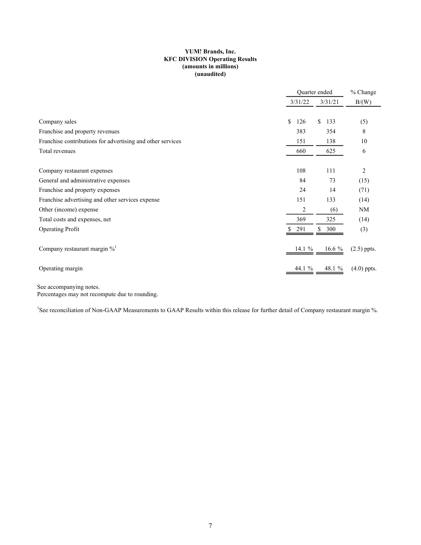#### **YUM! Brands, Inc. KFC DIVISION Operating Results (amounts in millions) (unaudited)**

|                                                            | Quarter ended |           | % Change      |
|------------------------------------------------------------|---------------|-----------|---------------|
|                                                            | 3/31/22       | 3/31/21   | B/(W)         |
| Company sales                                              | \$<br>126     | \$<br>133 | (5)           |
| Franchise and property revenues                            | 383           | 354       | 8             |
| Franchise contributions for advertising and other services | 151           | 138       | 10            |
| Total revenues                                             | 660           | 625       | 6             |
| Company restaurant expenses                                | 108           | 111       | 2             |
| General and administrative expenses                        | 84            | 73        | (15)          |
| Franchise and property expenses                            | 24            | 14        | (71)          |
| Franchise advertising and other services expense           | 151           | 133       | (14)          |
| Other (income) expense                                     | 2             | (6)       | <b>NM</b>     |
| Total costs and expenses, net                              | 369           | 325       | (14)          |
| <b>Operating Profit</b>                                    | 291           | \$<br>300 | (3)           |
| Company restaurant margin $\%$ <sup>1</sup>                | 14.1 $%$      | 16.6 $%$  | $(2.5)$ ppts. |
| Operating margin                                           | 44.1 %        | 48.1 %    | $(4.0)$ ppts. |

See accompanying notes. Percentages may not recompute due to rounding.

<sup>1</sup>See reconciliation of Non-GAAP Measurements to GAAP Results within this release for further detail of Company restaurant margin %.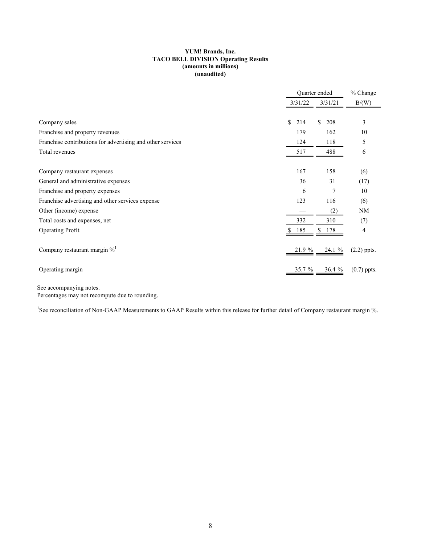#### **YUM! Brands, Inc. TACO BELL DIVISION Operating Results (amounts in millions) (unaudited)**

|                                                            | Quarter ended |           | % Change      |
|------------------------------------------------------------|---------------|-----------|---------------|
|                                                            | 3/31/22       | 3/31/21   | B/(W)         |
|                                                            |               |           |               |
| Company sales                                              | \$<br>214     | \$<br>208 | 3             |
| Franchise and property revenues                            | 179           | 162       | 10            |
| Franchise contributions for advertising and other services | 124           | 118       | 5             |
| Total revenues                                             | 517           | 488       | 6             |
|                                                            |               |           |               |
| Company restaurant expenses                                | 167           | 158       | (6)           |
| General and administrative expenses                        | 36            | 31        | (17)          |
| Franchise and property expenses                            | 6             | 7         | 10            |
| Franchise advertising and other services expense           | 123           | 116       | (6)           |
| Other (income) expense                                     |               | (2)       | <b>NM</b>     |
| Total costs and expenses, net                              | 332           | 310       | (7)           |
| Operating Profit                                           | 185           | \$<br>178 | 4             |
| Company restaurant margin $\%$ <sup>1</sup>                | 21.9 %        | 24.1 %    | $(2.2)$ ppts. |
| Operating margin                                           | $35.7 \%$     | 36.4%     | $(0.7)$ ppts. |

See accompanying notes. Percentages may not recompute due to rounding.

<sup>1</sup>See reconciliation of Non-GAAP Measurements to GAAP Results within this release for further detail of Company restaurant margin %.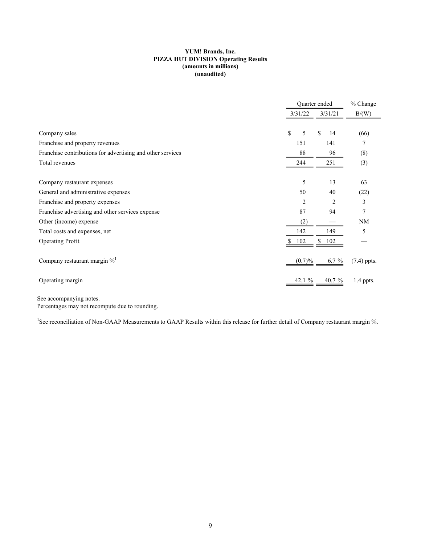#### **YUM! Brands, Inc. PIZZA HUT DIVISION Operating Results (amounts in millions) (unaudited)**

|                                                            | Quarter ended |           |               |  |  |
|------------------------------------------------------------|---------------|-----------|---------------|--|--|
|                                                            | 3/31/22       | 3/31/21   | B/(W)         |  |  |
|                                                            |               |           |               |  |  |
| Company sales                                              | 5<br>\$       | \$<br>14  | (66)          |  |  |
| Franchise and property revenues                            | 151           | 141       |               |  |  |
| Franchise contributions for advertising and other services | 88            | (8)       |               |  |  |
| Total revenues                                             | 244           | 251       | (3)           |  |  |
| Company restaurant expenses                                | 5             | 13        | 63            |  |  |
| General and administrative expenses                        | 50            | 40        | (22)          |  |  |
| Franchise and property expenses                            | 2             | 2         | 3             |  |  |
| Franchise advertising and other services expense           | 87            | 94        | 7             |  |  |
| Other (income) expense                                     | (2)           |           | <b>NM</b>     |  |  |
| Total costs and expenses, net                              | 142           | 149       | 5             |  |  |
| <b>Operating Profit</b>                                    | 102           | \$<br>102 |               |  |  |
| Company restaurant margin % <sup>1</sup>                   | (0.7)%        | $6.7 \%$  | $(7.4)$ ppts. |  |  |
| Operating margin                                           | 42.1 $%$      | 40.7 $%$  | 1.4 ppts.     |  |  |

See accompanying notes. Percentages may not recompute due to rounding.

<sup>1</sup>See reconciliation of Non-GAAP Measurements to GAAP Results within this release for further detail of Company restaurant margin %.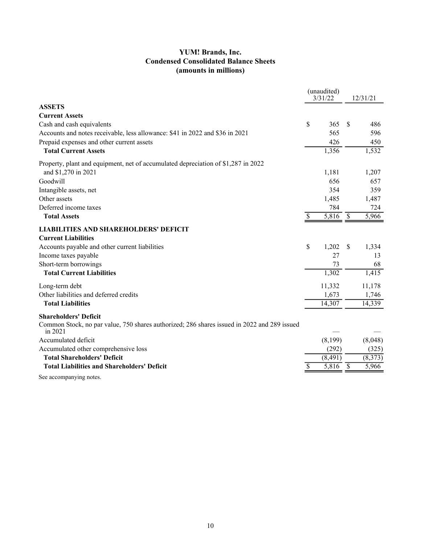# **YUM! Brands, Inc. Condensed Consolidated Balance Sheets (amounts in millions)**

|                                                                                                        |    | (unaudited)<br>3/31/22 |               | 12/31/21 |
|--------------------------------------------------------------------------------------------------------|----|------------------------|---------------|----------|
| <b>ASSETS</b>                                                                                          |    |                        |               |          |
| <b>Current Assets</b>                                                                                  |    |                        |               |          |
| Cash and cash equivalents                                                                              | \$ | 365                    | S             | 486      |
| Accounts and notes receivable, less allowance: \$41 in 2022 and \$36 in 2021                           |    | 565                    |               | 596      |
| Prepaid expenses and other current assets                                                              |    | 426                    |               | 450      |
| <b>Total Current Assets</b>                                                                            |    | 1,356                  |               | 1,532    |
| Property, plant and equipment, net of accumulated depreciation of \$1,287 in 2022                      |    |                        |               |          |
| and \$1,270 in 2021                                                                                    |    | 1,181                  |               | 1,207    |
| Goodwill                                                                                               |    | 656                    |               | 657      |
| Intangible assets, net                                                                                 |    | 354                    |               | 359      |
| Other assets                                                                                           |    | 1,485                  |               | 1,487    |
| Deferred income taxes                                                                                  |    | 784                    |               | 724      |
| <b>Total Assets</b>                                                                                    | S  | 5,816                  | $\mathcal{S}$ | 5,966    |
| <b>LIABILITIES AND SHAREHOLDERS' DEFICIT</b>                                                           |    |                        |               |          |
| <b>Current Liabilities</b>                                                                             |    |                        |               |          |
| Accounts payable and other current liabilities                                                         | \$ | 1,202                  | S             | 1,334    |
| Income taxes payable                                                                                   |    | 27                     |               | 13       |
| Short-term borrowings                                                                                  |    | 73                     |               | 68       |
| <b>Total Current Liabilities</b>                                                                       |    | 1,302                  |               | 1,415    |
| Long-term debt                                                                                         |    | 11,332                 |               | 11,178   |
| Other liabilities and deferred credits                                                                 |    | 1,673                  |               | 1,746    |
| <b>Total Liabilities</b>                                                                               |    | 14,307                 |               | 14,339   |
| <b>Shareholders' Deficit</b>                                                                           |    |                        |               |          |
| Common Stock, no par value, 750 shares authorized; 286 shares issued in 2022 and 289 issued<br>in 2021 |    |                        |               |          |
| Accumulated deficit                                                                                    |    | (8,199)                |               | (8,048)  |
| Accumulated other comprehensive loss                                                                   |    | (292)                  |               | (325)    |
| <b>Total Shareholders' Deficit</b>                                                                     |    | (8, 491)               |               | (8,373)  |
| <b>Total Liabilities and Shareholders' Deficit</b>                                                     |    | 5,816                  | $\mathcal{S}$ | 5,966    |
| 0 ka wa katika mwaka wa mwaka w                                                                        |    |                        |               |          |

See accompanying notes.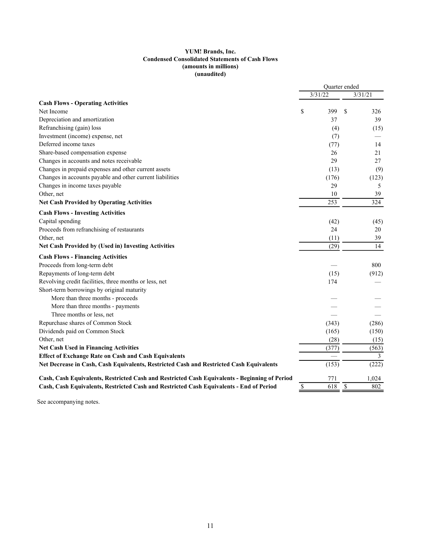#### **YUM! Brands, Inc. Condensed Consolidated Statements of Cash Flows (amounts in millions) (unaudited)**

|                                                                                               |             | Quarter ended |         |                |  |
|-----------------------------------------------------------------------------------------------|-------------|---------------|---------|----------------|--|
|                                                                                               |             | 3/31/22       | 3/31/21 |                |  |
| <b>Cash Flows - Operating Activities</b>                                                      |             |               |         |                |  |
| Net Income                                                                                    | \$          | 399           | \$      | 326            |  |
| Depreciation and amortization                                                                 |             | 37            |         | 39             |  |
| Refranchising (gain) loss                                                                     |             | (4)           |         | (15)           |  |
| Investment (income) expense, net                                                              |             | (7)           |         |                |  |
| Deferred income taxes                                                                         |             | (77)          |         | 14             |  |
| Share-based compensation expense                                                              |             | 26            |         | 21             |  |
| Changes in accounts and notes receivable                                                      |             | 29            |         | 27             |  |
| Changes in prepaid expenses and other current assets                                          |             | (13)          |         | (9)            |  |
| Changes in accounts payable and other current liabilities                                     |             | (176)         |         | (123)          |  |
| Changes in income taxes payable                                                               |             | 29            |         | 5              |  |
| Other, net                                                                                    |             | 10            |         | 39             |  |
| <b>Net Cash Provided by Operating Activities</b>                                              |             | 253           |         | 324            |  |
| <b>Cash Flows - Investing Activities</b>                                                      |             |               |         |                |  |
| Capital spending                                                                              |             | (42)          |         | (45)           |  |
| Proceeds from refranchising of restaurants                                                    |             | 24            |         | 20             |  |
| Other, net                                                                                    |             | (11)          |         | 39             |  |
| <b>Net Cash Provided by (Used in) Investing Activities</b>                                    |             | (29)          |         | 14             |  |
| <b>Cash Flows - Financing Activities</b>                                                      |             |               |         |                |  |
| Proceeds from long-term debt                                                                  |             |               |         | 800            |  |
| Repayments of long-term debt                                                                  |             | (15)          |         | (912)          |  |
| Revolving credit facilities, three months or less, net                                        |             | 174           |         |                |  |
| Short-term borrowings by original maturity                                                    |             |               |         |                |  |
| More than three months - proceeds                                                             |             |               |         |                |  |
| More than three months - payments                                                             |             |               |         |                |  |
| Three months or less, net                                                                     |             |               |         |                |  |
| Repurchase shares of Common Stock                                                             |             | (343)         |         | (286)          |  |
| Dividends paid on Common Stock                                                                |             | (165)         |         | (150)          |  |
| Other, net                                                                                    |             | (28)          |         | (15)           |  |
| <b>Net Cash Used in Financing Activities</b>                                                  |             | (377)         |         | (563)          |  |
| <b>Effect of Exchange Rate on Cash and Cash Equivalents</b>                                   |             |               |         | $\overline{3}$ |  |
| Net Decrease in Cash, Cash Equivalents, Restricted Cash and Restricted Cash Equivalents       |             | (153)         |         | (222)          |  |
| Cash, Cash Equivalents, Restricted Cash and Restricted Cash Equivalents - Beginning of Period |             | 771           |         | 1,024          |  |
| Cash, Cash Equivalents, Restricted Cash and Restricted Cash Equivalents - End of Period       | $\mathbb S$ | 618           | \$      | 802            |  |

See accompanying notes.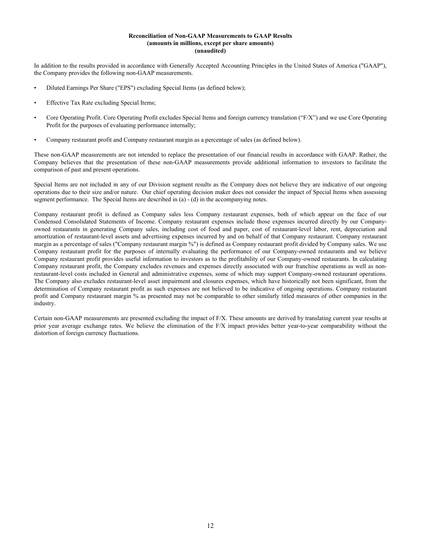#### **Reconciliation of Non-GAAP Measurements to GAAP Results (amounts in millions, except per share amounts) (unaudited)**

In addition to the results provided in accordance with Generally Accepted Accounting Principles in the United States of America ("GAAP"), the Company provides the following non-GAAP measurements.

- Diluted Earnings Per Share ("EPS") excluding Special Items (as defined below);
- Effective Tax Rate excluding Special Items;
- Core Operating Profit. Core Operating Profit excludes Special Items and foreign currency translation ("F/X") and we use Core Operating Profit for the purposes of evaluating performance internally;
- Company restaurant profit and Company restaurant margin as a percentage of sales (as defined below).

These non-GAAP measurements are not intended to replace the presentation of our financial results in accordance with GAAP. Rather, the Company believes that the presentation of these non-GAAP measurements provide additional information to investors to facilitate the comparison of past and present operations.

Special Items are not included in any of our Division segment results as the Company does not believe they are indicative of our ongoing operations due to their size and/or nature. Our chief operating decision maker does not consider the impact of Special Items when assessing segment performance. The Special Items are described in (a) - (d) in the accompanying notes.

Company restaurant profit is defined as Company sales less Company restaurant expenses, both of which appear on the face of our Condensed Consolidated Statements of Income. Company restaurant expenses include those expenses incurred directly by our Companyowned restaurants in generating Company sales, including cost of food and paper, cost of restaurant-level labor, rent, depreciation and amortization of restaurant-level assets and advertising expenses incurred by and on behalf of that Company restaurant. Company restaurant margin as a percentage of sales ("Company restaurant margin %") is defined as Company restaurant profit divided by Company sales. We use Company restaurant profit for the purposes of internally evaluating the performance of our Company-owned restaurants and we believe Company restaurant profit provides useful information to investors as to the profitability of our Company-owned restaurants. In calculating Company restaurant profit, the Company excludes revenues and expenses directly associated with our franchise operations as well as nonrestaurant-level costs included in General and administrative expenses, some of which may support Company-owned restaurant operations. The Company also excludes restaurant-level asset impairment and closures expenses, which have historically not been significant, from the determination of Company restaurant profit as such expenses are not believed to be indicative of ongoing operations. Company restaurant profit and Company restaurant margin % as presented may not be comparable to other similarly titled measures of other companies in the industry.

Certain non-GAAP measurements are presented excluding the impact of F/X. These amounts are derived by translating current year results at prior year average exchange rates. We believe the elimination of the F/X impact provides better year-to-year comparability without the distortion of foreign currency fluctuations.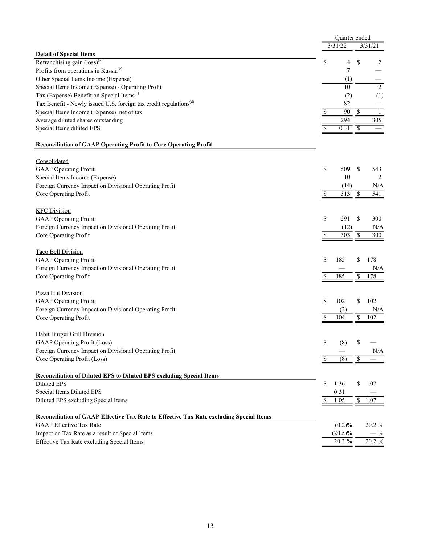|                                                                                         |    | Quarter ended |      |                |
|-----------------------------------------------------------------------------------------|----|---------------|------|----------------|
|                                                                                         |    | 3/31/22       |      | 3/31/21        |
| <b>Detail of Special Items</b>                                                          |    |               |      |                |
| Refranchising gain (loss) <sup>(a)</sup>                                                | \$ | 4             | \$   | 2              |
| Profits from operations in Russia <sup>(b)</sup>                                        |    | 7             |      |                |
| Other Special Items Income (Expense)                                                    |    | (1)           |      |                |
| Special Items Income (Expense) - Operating Profit                                       |    | 10            |      | $\overline{2}$ |
| Tax (Expense) Benefit on Special Items <sup>(c)</sup>                                   |    | (2)           |      | (1)            |
| Tax Benefit - Newly issued U.S. foreign tax credit regulations <sup>(d)</sup>           |    | 82            |      |                |
| Special Items Income (Expense), net of tax                                              | \$ | 90            | $\$$ | -1             |
| Average diluted shares outstanding                                                      |    | 294           |      | 305            |
| Special Items diluted EPS                                                               |    | 0.31          | \$   |                |
| <b>Reconciliation of GAAP Operating Profit to Core Operating Profit</b>                 |    |               |      |                |
|                                                                                         |    |               |      |                |
| Consolidated                                                                            |    |               |      |                |
| GAAP Operating Profit                                                                   | \$ | 509           | \$   | 543            |
| Special Items Income (Expense)                                                          |    | 10            |      | 2              |
| Foreign Currency Impact on Divisional Operating Profit                                  |    | (14)          |      | N/A            |
| Core Operating Profit                                                                   | \$ | 513           | \$   | 541            |
| <b>KFC Division</b>                                                                     |    |               |      |                |
| <b>GAAP</b> Operating Profit                                                            | \$ | 291           | \$   | 300            |
| Foreign Currency Impact on Divisional Operating Profit                                  |    | (12)          |      | N/A            |
| Core Operating Profit                                                                   | \$ | 303           | \$   | 300            |
|                                                                                         |    |               |      |                |
| <b>Taco Bell Division</b>                                                               |    |               |      |                |
| <b>GAAP</b> Operating Profit                                                            | \$ | 185           | \$   | 178            |
| Foreign Currency Impact on Divisional Operating Profit                                  |    |               |      | N/A            |
| Core Operating Profit                                                                   | S  | 185           | \$   | 178            |
|                                                                                         |    |               |      |                |
| Pizza Hut Division                                                                      |    |               |      |                |
| <b>GAAP</b> Operating Profit                                                            | \$ | 102           | \$   | 102            |
| Foreign Currency Impact on Divisional Operating Profit                                  |    | (2)           |      | N/A            |
| Core Operating Profit                                                                   | S  | 104           | \$   | 102            |
|                                                                                         |    |               |      |                |
| <b>Habit Burger Grill Division</b>                                                      |    |               |      |                |
| <b>GAAP</b> Operating Profit (Loss)                                                     | \$ | (8)           | \$   |                |
| Foreign Currency Impact on Divisional Operating Profit                                  |    |               |      | N/A            |
| Core Operating Profit (Loss)                                                            |    | (8)           | \$   |                |
| Reconciliation of Diluted EPS to Diluted EPS excluding Special Items                    |    |               |      |                |
| Diluted EPS                                                                             | \$ | 1.36          | \$   | 1.07           |
| Special Items Diluted EPS                                                               |    | 0.31          |      |                |
| Diluted EPS excluding Special Items                                                     | \$ | 1.05          | \$   | 1.07           |
| Reconciliation of GAAP Effective Tax Rate to Effective Tax Rate excluding Special Items |    |               |      |                |
| <b>GAAP</b> Effective Tax Rate                                                          |    | (0.2)%        |      | 20.2 %         |
| Impact on Tax Rate as a result of Special Items                                         |    | $(20.5)\%$    |      | $-$ %          |
| Effective Tax Rate excluding Special Items                                              |    | 20.3 %        |      | 20.2 %         |
|                                                                                         |    |               |      |                |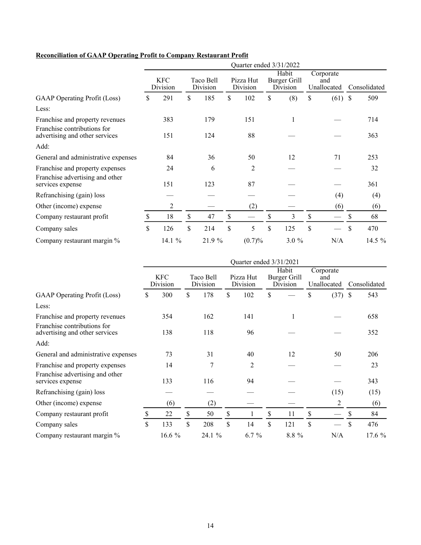# **Reconciliation of GAAP Operating Profit to Company Restaurant Profit**

|                                                               | Quarter ended 3/31/2022 |                        |    |                       |    |                       |    |                                          |    |                                 |              |          |
|---------------------------------------------------------------|-------------------------|------------------------|----|-----------------------|----|-----------------------|----|------------------------------------------|----|---------------------------------|--------------|----------|
|                                                               |                         | <b>KFC</b><br>Division |    | Taco Bell<br>Division |    | Pizza Hut<br>Division |    | Habit<br><b>Burger Grill</b><br>Division |    | Corporate<br>and<br>Unallocated | Consolidated |          |
| <b>GAAP</b> Operating Profit (Loss)                           | \$                      | 291                    | \$ | 185                   | \$ | 102                   | \$ | (8)                                      | \$ | $(61)$ \$                       |              | 509      |
| Less:                                                         |                         |                        |    |                       |    |                       |    |                                          |    |                                 |              |          |
| Franchise and property revenues                               |                         | 383                    |    | 179                   |    | 151                   |    |                                          |    |                                 |              | 714      |
| Franchise contributions for<br>advertising and other services |                         | 151                    |    | 124                   |    | 88                    |    |                                          |    |                                 |              | 363      |
| Add:                                                          |                         |                        |    |                       |    |                       |    |                                          |    |                                 |              |          |
| General and administrative expenses                           |                         | 84                     |    | 36                    |    | 50                    |    | 12                                       |    | 71                              |              | 253      |
| Franchise and property expenses                               |                         | 24                     |    | 6                     |    | 2                     |    |                                          |    |                                 |              | 32       |
| Franchise advertising and other<br>services expense           |                         | 151                    |    | 123                   |    | 87                    |    |                                          |    |                                 |              | 361      |
| Refranchising (gain) loss                                     |                         |                        |    |                       |    |                       |    |                                          |    | (4)                             |              | (4)      |
| Other (income) expense                                        |                         | $\overline{2}$         |    |                       |    | (2)                   |    |                                          |    | (6)                             |              | (6)      |
| Company restaurant profit                                     | \$                      | 18                     | \$ | 47                    | \$ |                       | \$ | 3                                        | \$ | $\hspace{0.05cm}$               | \$           | 68       |
| Company sales                                                 | \$                      | 126                    | \$ | 214                   | \$ | 5                     | \$ | 125                                      | \$ |                                 | S            | 470      |
| Company restaurant margin %                                   |                         | 14.1 %                 |    | 21.9 %                |    | (0.7)%                |    | $3.0 \%$                                 |    | N/A                             |              | 14.5 $%$ |

|                                                               | Quarter ended 3/31/2021 |                        |    |                       |    |                       |    |                                   |    |                                 |              |       |
|---------------------------------------------------------------|-------------------------|------------------------|----|-----------------------|----|-----------------------|----|-----------------------------------|----|---------------------------------|--------------|-------|
|                                                               |                         | <b>KFC</b><br>Division |    | Taco Bell<br>Division |    | Pizza Hut<br>Division |    | Habit<br>Burger Grill<br>Division |    | Corporate<br>and<br>Unallocated | Consolidated |       |
| <b>GAAP</b> Operating Profit (Loss)                           | \$                      | 300                    | \$ | 178                   | \$ | 102                   | \$ |                                   | \$ | $(37)$ \$                       |              | 543   |
| Less:                                                         |                         |                        |    |                       |    |                       |    |                                   |    |                                 |              |       |
| Franchise and property revenues                               |                         | 354                    |    | 162                   |    | 141                   |    |                                   |    |                                 |              | 658   |
| Franchise contributions for<br>advertising and other services |                         | 138                    |    | 118                   |    | 96                    |    |                                   |    |                                 |              | 352   |
| Add:                                                          |                         |                        |    |                       |    |                       |    |                                   |    |                                 |              |       |
| General and administrative expenses                           |                         | 73                     |    | 31                    |    | 40                    |    | 12                                |    | 50                              |              | 206   |
| Franchise and property expenses                               |                         | 14                     |    | 7                     |    | 2                     |    |                                   |    |                                 |              | 23    |
| Franchise advertising and other<br>services expense           |                         | 133                    |    | 116                   |    | 94                    |    |                                   |    |                                 |              | 343   |
| Refranchising (gain) loss                                     |                         |                        |    |                       |    |                       |    |                                   |    | (15)                            |              | (15)  |
| Other (income) expense                                        |                         | (6)                    |    | (2)                   |    |                       |    |                                   |    | 2                               |              | (6)   |
| Company restaurant profit                                     | \$                      | 22                     | \$ | 50                    | \$ |                       | \$ | 11                                | \$ |                                 | \$           | 84    |
| Company sales                                                 | \$                      | 133                    | \$ | 208                   | \$ | 14                    | \$ | 121                               | \$ |                                 | $\mathbf S$  | 476   |
| Company restaurant margin %                                   |                         | 16.6 %                 |    | 24.1 %                |    | $6.7 \%$              |    | 8.8 %                             |    | N/A                             |              | 17.6% |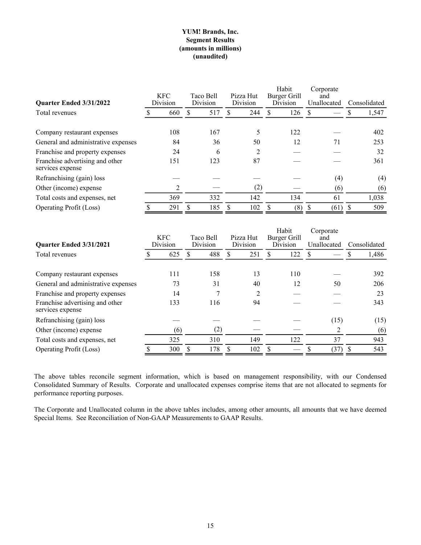## **YUM! Brands, Inc. Segment Results (amounts in millions) (unaudited)**

| Quarter Ended 3/31/2022                             | <b>KFC</b><br>Division |     | Taco Bell<br><b>Division</b> |     | Pizza Hut<br>Division |     | Habit<br>Burger Grill<br>Division |     | Corporate<br>and<br>Unallocated |      | Consolidated |       |
|-----------------------------------------------------|------------------------|-----|------------------------------|-----|-----------------------|-----|-----------------------------------|-----|---------------------------------|------|--------------|-------|
| Total revenues                                      |                        | 660 |                              | 517 |                       | 244 |                                   | 126 | <b>S</b>                        |      |              | 1,547 |
| Company restaurant expenses                         |                        | 108 |                              | 167 |                       |     |                                   | 122 |                                 |      |              | 402   |
| General and administrative expenses                 |                        | 84  |                              | 36  |                       | 50  |                                   | 12  |                                 | 71   |              | 253   |
| Franchise and property expenses                     |                        | 24  |                              | 6   |                       | C   |                                   |     |                                 |      |              | 32    |
| Franchise advertising and other<br>services expense |                        | 151 |                              | 123 |                       | 87  |                                   |     |                                 |      |              | 361   |
| Refranchising (gain) loss                           |                        |     |                              |     |                       |     |                                   |     |                                 | (4)  |              | (4)   |
| Other (income) expense                              |                        | 2   |                              |     |                       | (2) |                                   |     |                                 | (6)  |              | (6)   |
| Total costs and expenses, net                       |                        | 369 |                              | 332 |                       | 142 |                                   | 134 |                                 | 61   |              | 1,038 |
| <b>Operating Profit (Loss)</b>                      |                        | 291 |                              | 185 |                       | 102 |                                   | (8) |                                 | (61) |              | 509   |

| Quarter Ended 3/31/2021                                                                | <b>KFC</b><br>Division |           | Taco Bell<br>Division |           | Pizza Hut<br>Division |          | Habit<br><b>Burger Grill</b><br>Division |           | Corporate<br>and<br>Unallocated |      | Consolidated |            |
|----------------------------------------------------------------------------------------|------------------------|-----------|-----------------------|-----------|-----------------------|----------|------------------------------------------|-----------|---------------------------------|------|--------------|------------|
| Total revenues                                                                         |                        | 625       | 488                   |           |                       | 251      |                                          | 122       | S                               |      |              | 1,486      |
| Company restaurant expenses<br>General and administrative expenses                     |                        | 111<br>73 |                       | 158<br>31 |                       | 13<br>40 |                                          | 110<br>12 |                                 | 50   |              | 392<br>206 |
| Franchise and property expenses<br>Franchise advertising and other<br>services expense |                        | 14<br>133 |                       | 116       |                       | 2<br>94  |                                          |           |                                 |      |              | 23<br>343  |
| Refranchising (gain) loss                                                              |                        |           |                       |           |                       |          |                                          |           |                                 | (15) |              | (15)       |
| Other (income) expense                                                                 |                        | (6)       |                       | (2)       |                       |          |                                          |           |                                 | 2    |              | (6)        |
| Total costs and expenses, net                                                          |                        | 325       | 310                   |           |                       | 149      |                                          | 122       |                                 | 37   |              | 943        |
| <b>Operating Profit (Loss)</b>                                                         |                        | 300       |                       | 178       |                       | 102      |                                          |           |                                 | (37) |              | 543        |

The above tables reconcile segment information, which is based on management responsibility, with our Condensed Consolidated Summary of Results. Corporate and unallocated expenses comprise items that are not allocated to segments for performance reporting purposes.

The Corporate and Unallocated column in the above tables includes, among other amounts, all amounts that we have deemed Special Items. See Reconciliation of Non-GAAP Measurements to GAAP Results.